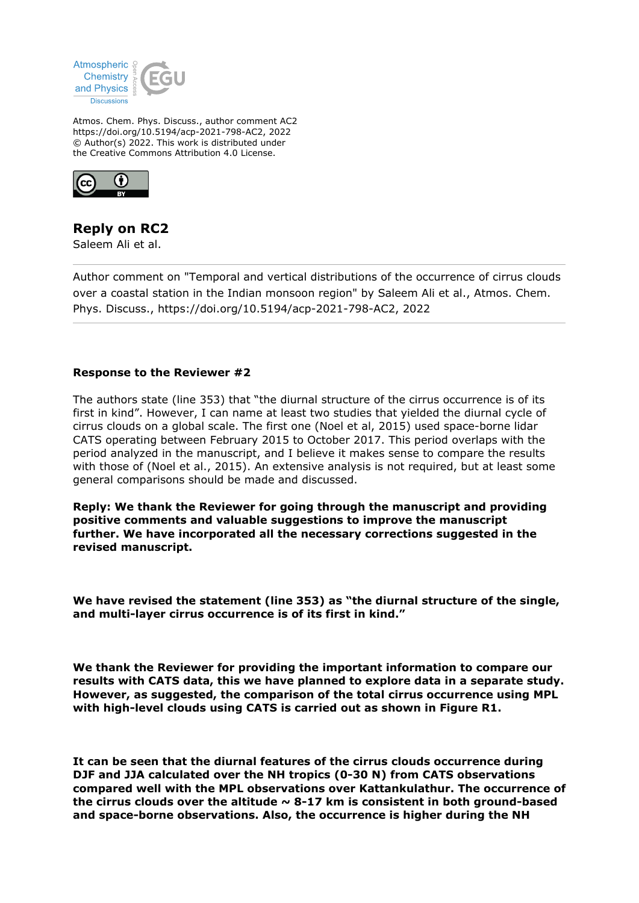

Atmos. Chem. Phys. Discuss., author comment AC2 https://doi.org/10.5194/acp-2021-798-AC2, 2022 © Author(s) 2022. This work is distributed under the Creative Commons Attribution 4.0 License.



# **Reply on RC2**

Saleem Ali et al.

Author comment on "Temporal and vertical distributions of the occurrence of cirrus clouds over a coastal station in the Indian monsoon region" by Saleem Ali et al., Atmos. Chem. Phys. Discuss., https://doi.org/10.5194/acp-2021-798-AC2, 2022

# **Response to the Reviewer #2**

The authors state (line 353) that "the diurnal structure of the cirrus occurrence is of its first in kind". However, I can name at least two studies that yielded the diurnal cycle of cirrus clouds on a global scale. The first one (Noel et al, 2015) used space-borne lidar CATS operating between February 2015 to October 2017. This period overlaps with the period analyzed in the manuscript, and I believe it makes sense to compare the results with those of (Noel et al., 2015). An extensive analysis is not required, but at least some general comparisons should be made and discussed.

**Reply: We thank the Reviewer for going through the manuscript and providing positive comments and valuable suggestions to improve the manuscript further. We have incorporated all the necessary corrections suggested in the revised manuscript.**

**We have revised the statement (line 353) as "the diurnal structure of the single, and multi-layer cirrus occurrence is of its first in kind."** 

**We thank the Reviewer for providing the important information to compare our results with CATS data, this we have planned to explore data in a separate study. However, as suggested, the comparison of the total cirrus occurrence using MPL with high-level clouds using CATS is carried out as shown in Figure R1.** 

**It can be seen that the diurnal features of the cirrus clouds occurrence during DJF and JJA calculated over the NH tropics (0-30 N) from CATS observations compared well with the MPL observations over Kattankulathur. The occurrence of** the cirrus clouds over the altitude  $\sim$  8-17 km is consistent in both ground-based **and space-borne observations. Also, the occurrence is higher during the NH**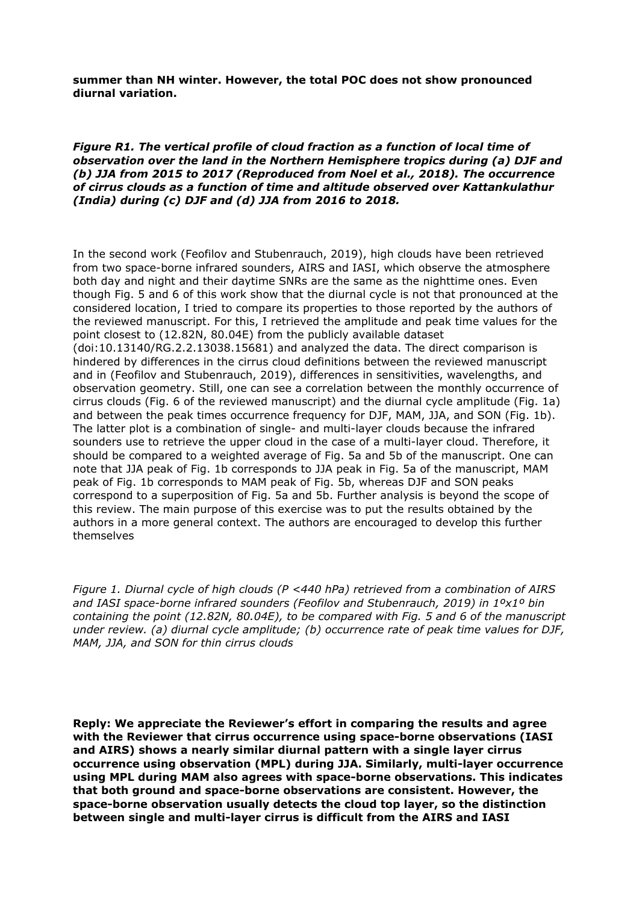**summer than NH winter. However, the total POC does not show pronounced diurnal variation.** 

*Figure R1. The vertical profile of cloud fraction as a function of local time of observation over the land in the Northern Hemisphere tropics during (a) DJF and (b) JJA from 2015 to 2017 (Reproduced from Noel et al., 2018). The occurrence of cirrus clouds as a function of time and altitude observed over Kattankulathur (India) during (c) DJF and (d) JJA from 2016 to 2018.*

In the second work (Feofilov and Stubenrauch, 2019), high clouds have been retrieved from two space-borne infrared sounders, AIRS and IASI, which observe the atmosphere both day and night and their daytime SNRs are the same as the nighttime ones. Even though Fig. 5 and 6 of this work show that the diurnal cycle is not that pronounced at the considered location, I tried to compare its properties to those reported by the authors of the reviewed manuscript. For this, I retrieved the amplitude and peak time values for the point closest to (12.82N, 80.04E) from the publicly available dataset (doi:10.13140/RG.2.2.13038.15681) and analyzed the data. The direct comparison is hindered by differences in the cirrus cloud definitions between the reviewed manuscript and in (Feofilov and Stubenrauch, 2019), differences in sensitivities, wavelengths, and observation geometry. Still, one can see a correlation between the monthly occurrence of cirrus clouds (Fig. 6 of the reviewed manuscript) and the diurnal cycle amplitude (Fig. 1a) and between the peak times occurrence frequency for DJF, MAM, JJA, and SON (Fig. 1b). The latter plot is a combination of single- and multi-layer clouds because the infrared sounders use to retrieve the upper cloud in the case of a multi-layer cloud. Therefore, it should be compared to a weighted average of Fig. 5a and 5b of the manuscript. One can note that JJA peak of Fig. 1b corresponds to JJA peak in Fig. 5a of the manuscript, MAM peak of Fig. 1b corresponds to MAM peak of Fig. 5b, whereas DJF and SON peaks correspond to a superposition of Fig. 5a and 5b. Further analysis is beyond the scope of this review. The main purpose of this exercise was to put the results obtained by the authors in a more general context. The authors are encouraged to develop this further themselves

*Figure 1. Diurnal cycle of high clouds (P <440 hPa) retrieved from a combination of AIRS and IASI space-borne infrared sounders (Feofilov and Stubenrauch, 2019) in 1ºx1º bin containing the point (12.82N, 80.04E), to be compared with Fig. 5 and 6 of the manuscript under review. (a) diurnal cycle amplitude; (b) occurrence rate of peak time values for DJF, MAM, JJA, and SON for thin cirrus clouds*

**Reply: We appreciate the Reviewer's effort in comparing the results and agree with the Reviewer that cirrus occurrence using space-borne observations (IASI and AIRS) shows a nearly similar diurnal pattern with a single layer cirrus occurrence using observation (MPL) during JJA. Similarly, multi-layer occurrence using MPL during MAM also agrees with space-borne observations. This indicates that both ground and space-borne observations are consistent. However, the space-borne observation usually detects the cloud top layer, so the distinction between single and multi-layer cirrus is difficult from the AIRS and IASI**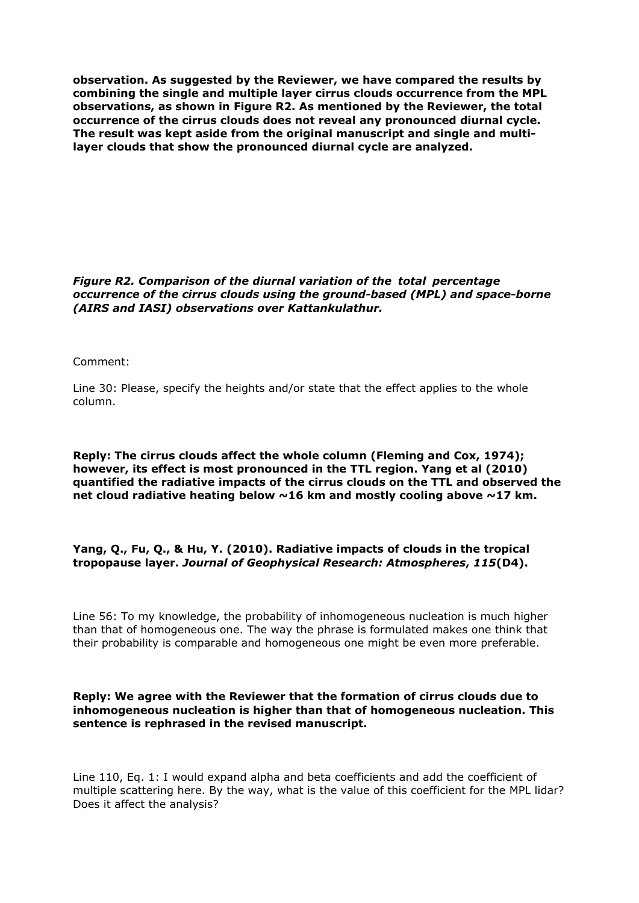**observation. As suggested by the Reviewer, we have compared the results by combining the single and multiple layer cirrus clouds occurrence from the MPL observations, as shown in Figure R2. As mentioned by the Reviewer, the total occurrence of the cirrus clouds does not reveal any pronounced diurnal cycle. The result was kept aside from the original manuscript and single and multilayer clouds that show the pronounced diurnal cycle are analyzed.** 

#### *Figure R2. Comparison of the diurnal variation of the total percentage occurrence of the cirrus clouds using the ground-based (MPL) and space-borne (AIRS and IASI) observations over Kattankulathur.*

Comment:

Line 30: Please, specify the heights and/or state that the effect applies to the whole column.

**Reply: The cirrus clouds affect the whole column (Fleming and Cox, 1974); however, its effect is most pronounced in the TTL region. Yang et al (2010) quantified the radiative impacts of the cirrus clouds on the TTL and observed the net cloud radiative heating below ~16 km and mostly cooling above ~17 km.** 

## **Yang, Q., Fu, Q., & Hu, Y. (2010). Radiative impacts of clouds in the tropical tropopause layer.** *Journal of Geophysical Research: Atmospheres***,** *115***(D4).**

Line 56: To my knowledge, the probability of inhomogeneous nucleation is much higher than that of homogeneous one. The way the phrase is formulated makes one think that their probability is comparable and homogeneous one might be even more preferable.

## **Reply: We agree with the Reviewer that the formation of cirrus clouds due to inhomogeneous nucleation is higher than that of homogeneous nucleation. This sentence is rephrased in the revised manuscript.**

Line 110, Eq. 1: I would expand alpha and beta coefficients and add the coefficient of multiple scattering here. By the way, what is the value of this coefficient for the MPL lidar? Does it affect the analysis?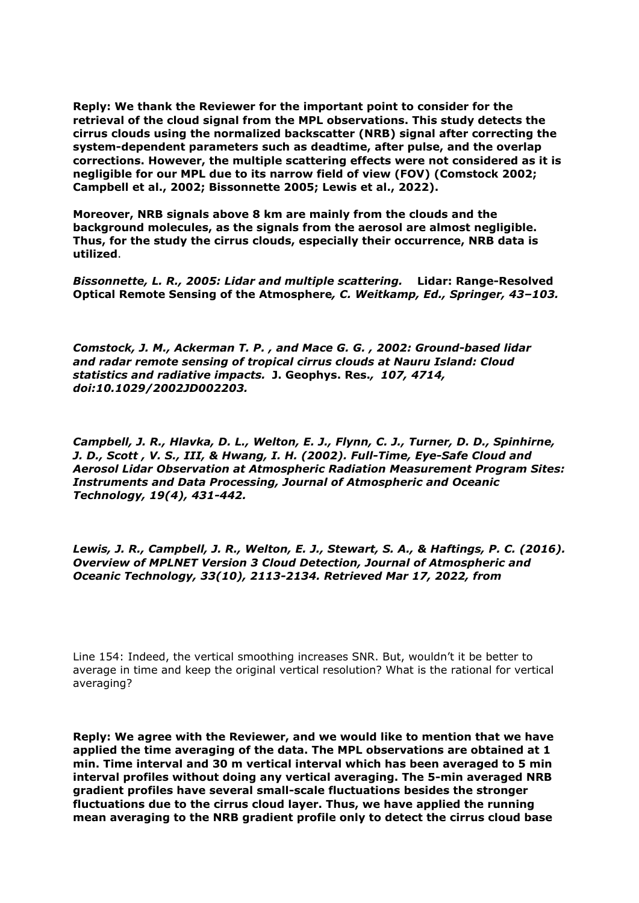**Reply: We thank the Reviewer for the important point to consider for the retrieval of the cloud signal from the MPL observations. This study detects the cirrus clouds using the normalized backscatter (NRB) signal after correcting the system-dependent parameters such as deadtime, after pulse, and the overlap corrections. However, the multiple scattering effects were not considered as it is negligible for our MPL due to its narrow field of view (FOV) (Comstock 2002; Campbell et al., 2002; Bissonnette 2005; Lewis et al., 2022).** 

**Moreover, NRB signals above 8 km are mainly from the clouds and the background molecules, as the signals from the aerosol are almost negligible. Thus, for the study the cirrus clouds, especially their occurrence, NRB data is utilized**.

*Bissonnette, L. R., 2005: Lidar and multiple scattering.* **Lidar: Range-Resolved Optical Remote Sensing of the Atmosphere***, C. Weitkamp, Ed., Springer, 43–103.*

*Comstock, J. M., Ackerman T. P. , and Mace G. G. , 2002: Ground-based lidar and radar remote sensing of tropical cirrus clouds at Nauru Island: Cloud statistics and radiative impacts.* **J. Geophys. Res.***, 107, 4714, doi:10.1029/2002JD002203.*

*Campbell, J. R., Hlavka, D. L., Welton, E. J., Flynn, C. J., Turner, D. D., Spinhirne, J. D., Scott , V. S., III, & Hwang, I. H. (2002). Full-Time, Eye-Safe Cloud and Aerosol Lidar Observation at Atmospheric Radiation Measurement Program Sites: Instruments and Data Processing, Journal of Atmospheric and Oceanic Technology, 19(4), 431-442.*

*Lewis, J. R., Campbell, J. R., Welton, E. J., Stewart, S. A., & Haftings, P. C. (2016). Overview of MPLNET Version 3 Cloud Detection, Journal of Atmospheric and Oceanic Technology, 33(10), 2113-2134. Retrieved Mar 17, 2022, from*

Line 154: Indeed, the vertical smoothing increases SNR. But, wouldn't it be better to average in time and keep the original vertical resolution? What is the rational for vertical averaging?

**Reply: We agree with the Reviewer, and we would like to mention that we have applied the time averaging of the data. The MPL observations are obtained at 1 min. Time interval and 30 m vertical interval which has been averaged to 5 min interval profiles without doing any vertical averaging. The 5-min averaged NRB gradient profiles have several small-scale fluctuations besides the stronger fluctuations due to the cirrus cloud layer. Thus, we have applied the running mean averaging to the NRB gradient profile only to detect the cirrus cloud base**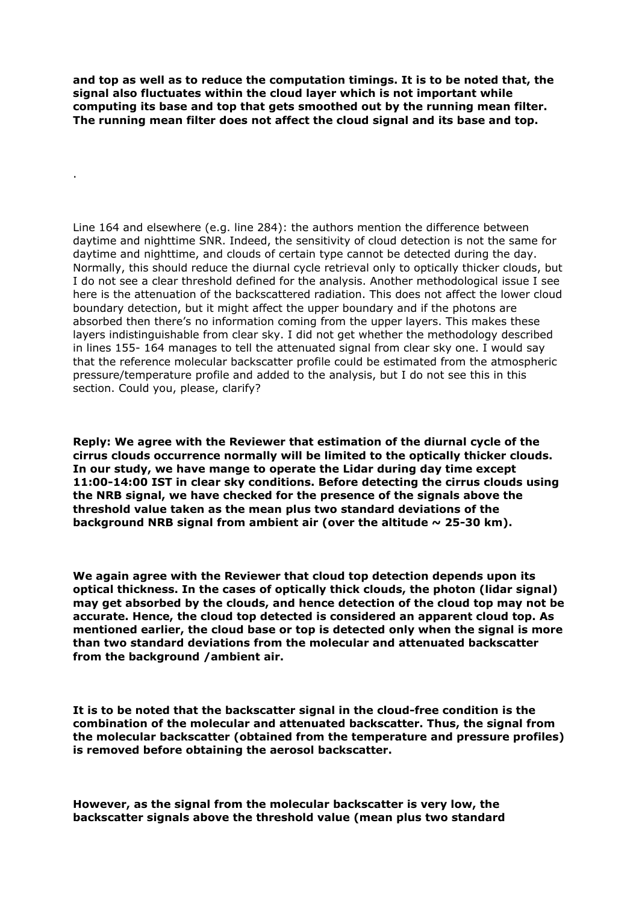**and top as well as to reduce the computation timings. It is to be noted that, the signal also fluctuates within the cloud layer which is not important while computing its base and top that gets smoothed out by the running mean filter. The running mean filter does not affect the cloud signal and its base and top.** 

.

Line 164 and elsewhere (e.g. line 284): the authors mention the difference between daytime and nighttime SNR. Indeed, the sensitivity of cloud detection is not the same for daytime and nighttime, and clouds of certain type cannot be detected during the day. Normally, this should reduce the diurnal cycle retrieval only to optically thicker clouds, but I do not see a clear threshold defined for the analysis. Another methodological issue I see here is the attenuation of the backscattered radiation. This does not affect the lower cloud boundary detection, but it might affect the upper boundary and if the photons are absorbed then there's no information coming from the upper layers. This makes these layers indistinguishable from clear sky. I did not get whether the methodology described in lines 155- 164 manages to tell the attenuated signal from clear sky one. I would say that the reference molecular backscatter profile could be estimated from the atmospheric pressure/temperature profile and added to the analysis, but I do not see this in this section. Could you, please, clarify?

**Reply: We agree with the Reviewer that estimation of the diurnal cycle of the cirrus clouds occurrence normally will be limited to the optically thicker clouds. In our study, we have mange to operate the Lidar during day time except 11:00-14:00 IST in clear sky conditions. Before detecting the cirrus clouds using the NRB signal, we have checked for the presence of the signals above the threshold value taken as the mean plus two standard deviations of the background NRB signal from ambient air (over the altitude ~ 25-30 km).** 

**We again agree with the Reviewer that cloud top detection depends upon its optical thickness. In the cases of optically thick clouds, the photon (lidar signal) may get absorbed by the clouds, and hence detection of the cloud top may not be accurate. Hence, the cloud top detected is considered an apparent cloud top. As mentioned earlier, the cloud base or top is detected only when the signal is more than two standard deviations from the molecular and attenuated backscatter from the background /ambient air.** 

**It is to be noted that the backscatter signal in the cloud-free condition is the combination of the molecular and attenuated backscatter. Thus, the signal from the molecular backscatter (obtained from the temperature and pressure profiles) is removed before obtaining the aerosol backscatter.** 

**However, as the signal from the molecular backscatter is very low, the backscatter signals above the threshold value (mean plus two standard**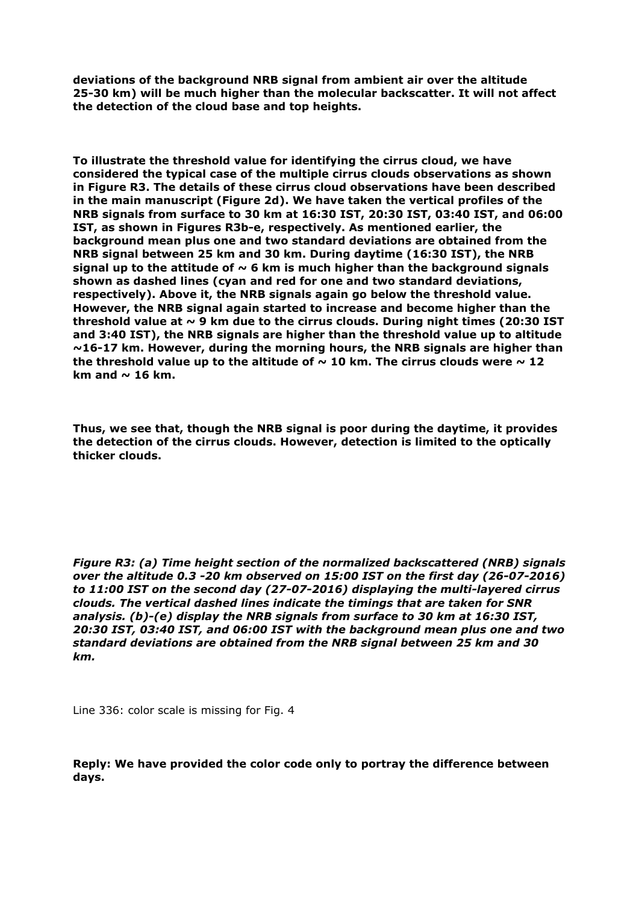**deviations of the background NRB signal from ambient air over the altitude 25-30 km) will be much higher than the molecular backscatter. It will not affect the detection of the cloud base and top heights.** 

**To illustrate the threshold value for identifying the cirrus cloud, we have considered the typical case of the multiple cirrus clouds observations as shown in Figure R3. The details of these cirrus cloud observations have been described in the main manuscript (Figure 2d). We have taken the vertical profiles of the NRB signals from surface to 30 km at 16:30 IST, 20:30 IST, 03:40 IST, and 06:00 IST, as shown in Figures R3b-e, respectively. As mentioned earlier, the background mean plus one and two standard deviations are obtained from the NRB signal between 25 km and 30 km. During daytime (16:30 IST), the NRB** signal up to the attitude of  $\sim$  6 km is much higher than the background signals **shown as dashed lines (cyan and red for one and two standard deviations, respectively). Above it, the NRB signals again go below the threshold value. However, the NRB signal again started to increase and become higher than the threshold value at ~ 9 km due to the cirrus clouds. During night times (20:30 IST and 3:40 IST), the NRB signals are higher than the threshold value up to altitude ~16-17 km. However, during the morning hours, the NRB signals are higher than** the threshold value up to the altitude of  $\sim$  10 km. The cirrus clouds were  $\sim$  12 km and  $\sim$  16 km.

**Thus, we see that, though the NRB signal is poor during the daytime, it provides the detection of the cirrus clouds. However, detection is limited to the optically thicker clouds.** 

*Figure R3: (a) Time height section of the normalized backscattered (NRB) signals over the altitude 0.3 -20 km observed on 15:00 IST on the first day (26-07-2016) to 11:00 IST on the second day (27-07-2016) displaying the multi-layered cirrus clouds. The vertical dashed lines indicate the timings that are taken for SNR analysis. (b)-(e) display the NRB signals from surface to 30 km at 16:30 IST, 20:30 IST, 03:40 IST, and 06:00 IST with the background mean plus one and two standard deviations are obtained from the NRB signal between 25 km and 30 km.* 

Line 336: color scale is missing for Fig. 4

**Reply: We have provided the color code only to portray the difference between days.**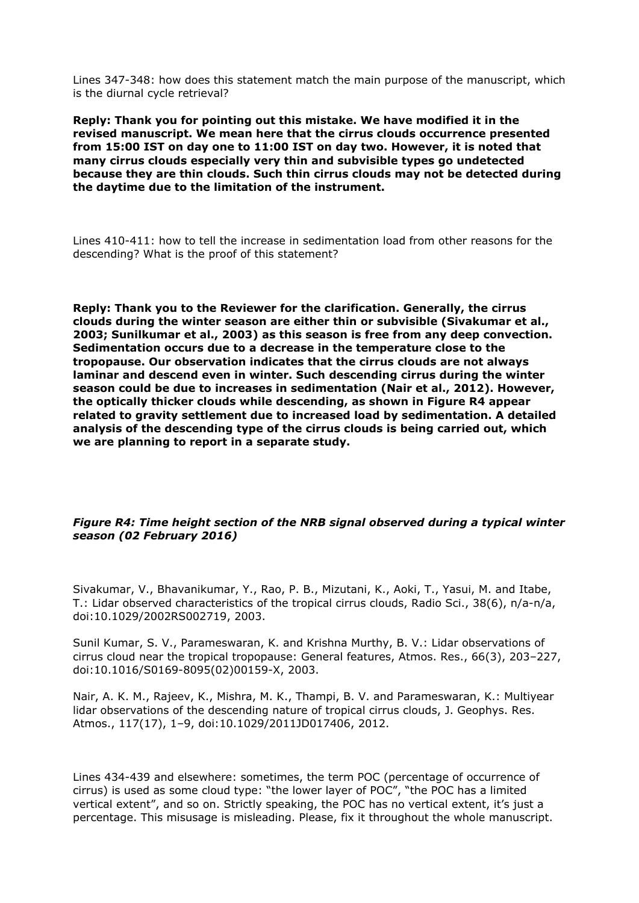Lines 347-348: how does this statement match the main purpose of the manuscript, which is the diurnal cycle retrieval?

**Reply: Thank you for pointing out this mistake. We have modified it in the revised manuscript. We mean here that the cirrus clouds occurrence presented from 15:00 IST on day one to 11:00 IST on day two. However, it is noted that many cirrus clouds especially very thin and subvisible types go undetected because they are thin clouds. Such thin cirrus clouds may not be detected during the daytime due to the limitation of the instrument.** 

Lines 410-411: how to tell the increase in sedimentation load from other reasons for the descending? What is the proof of this statement?

**Reply: Thank you to the Reviewer for the clarification. Generally, the cirrus clouds during the winter season are either thin or subvisible (Sivakumar et al., 2003; Sunilkumar et al., 2003) as this season is free from any deep convection. Sedimentation occurs due to a decrease in the temperature close to the tropopause. Our observation indicates that the cirrus clouds are not always laminar and descend even in winter. Such descending cirrus during the winter season could be due to increases in sedimentation (Nair et al., 2012). However, the optically thicker clouds while descending, as shown in Figure R4 appear related to gravity settlement due to increased load by sedimentation. A detailed analysis of the descending type of the cirrus clouds is being carried out, which we are planning to report in a separate study.** 

## *Figure R4: Time height section of the NRB signal observed during a typical winter season (02 February 2016)*

Sivakumar, V., Bhavanikumar, Y., Rao, P. B., Mizutani, K., Aoki, T., Yasui, M. and Itabe, T.: Lidar observed characteristics of the tropical cirrus clouds, Radio Sci., 38(6), n/a-n/a, doi:10.1029/2002RS002719, 2003.

Sunil Kumar, S. V., Parameswaran, K. and Krishna Murthy, B. V.: Lidar observations of cirrus cloud near the tropical tropopause: General features, Atmos. Res., 66(3), 203–227, doi:10.1016/S0169-8095(02)00159-X, 2003.

Nair, A. K. M., Rajeev, K., Mishra, M. K., Thampi, B. V. and Parameswaran, K.: Multiyear lidar observations of the descending nature of tropical cirrus clouds, J. Geophys. Res. Atmos., 117(17), 1–9, doi:10.1029/2011JD017406, 2012.

Lines 434-439 and elsewhere: sometimes, the term POC (percentage of occurrence of cirrus) is used as some cloud type: "the lower layer of POC", "the POC has a limited vertical extent", and so on. Strictly speaking, the POC has no vertical extent, it's just a percentage. This misusage is misleading. Please, fix it throughout the whole manuscript.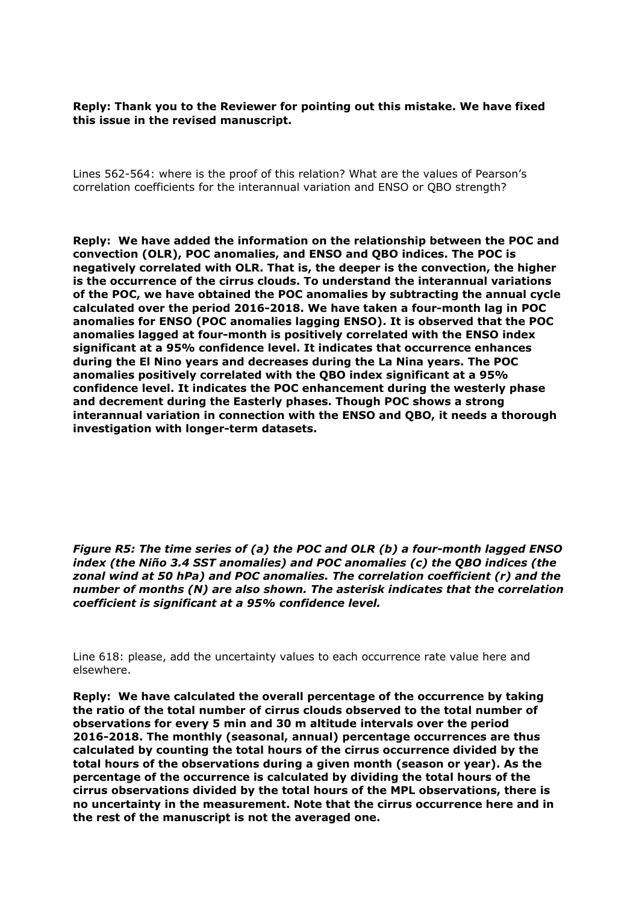**Reply: Thank you to the Reviewer for pointing out this mistake. We have fixed this issue in the revised manuscript.** 

Lines 562-564: where is the proof of this relation? What are the values of Pearson's correlation coefficients for the interannual variation and ENSO or QBO strength?

**Reply: We have added the information on the relationship between the POC and convection (OLR), POC anomalies, and ENSO and QBO indices. The POC is negatively correlated with OLR. That is, the deeper is the convection, the higher is the occurrence of the cirrus clouds. To understand the interannual variations of the POC, we have obtained the POC anomalies by subtracting the annual cycle calculated over the period 2016-2018. We have taken a four-month lag in POC anomalies for ENSO (POC anomalies lagging ENSO). It is observed that the POC anomalies lagged at four-month is positively correlated with the ENSO index significant at a 95% confidence level. It indicates that occurrence enhances during the El Nino years and decreases during the La Nina years. The POC anomalies positively correlated with the QBO index significant at a 95% confidence level. It indicates the POC enhancement during the westerly phase and decrement during the Easterly phases. Though POC shows a strong interannual variation in connection with the ENSO and QBO, it needs a thorough investigation with longer-term datasets.** 

*Figure R5: The time series of (a) the POC and OLR (b) a four-month lagged ENSO index (the Niño 3.4 SST anomalies) and POC anomalies (c) the QBO indices (the zonal wind at 50 hPa) and POC anomalies. The correlation coefficient (r) and the number of months (N) are also shown. The asterisk indicates that the correlation coefficient is significant at a 95% confidence level.* 

Line 618: please, add the uncertainty values to each occurrence rate value here and elsewhere.

**Reply: We have calculated the overall percentage of the occurrence by taking the ratio of the total number of cirrus clouds observed to the total number of observations for every 5 min and 30 m altitude intervals over the period 2016-2018. The monthly (seasonal, annual) percentage occurrences are thus calculated by counting the total hours of the cirrus occurrence divided by the total hours of the observations during a given month (season or year). As the percentage of the occurrence is calculated by dividing the total hours of the cirrus observations divided by the total hours of the MPL observations, there is no uncertainty in the measurement. Note that the cirrus occurrence here and in the rest of the manuscript is not the averaged one.**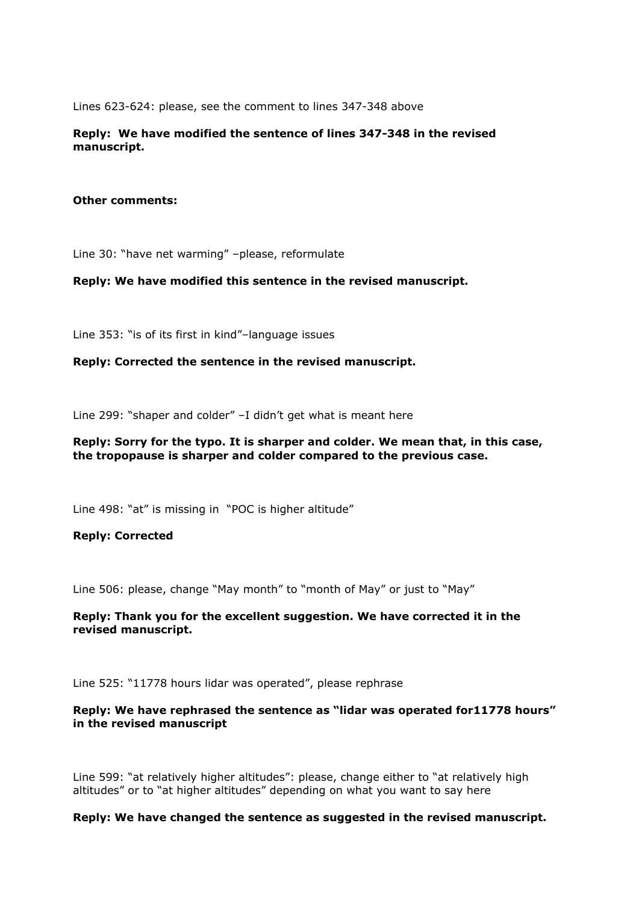Lines 623-624: please, see the comment to lines 347-348 above

## **Reply: We have modified the sentence of lines 347-348 in the revised manuscript.**

#### **Other comments:**

Line 30: "have net warming" –please, reformulate

## **Reply: We have modified this sentence in the revised manuscript.**

Line 353: "is of its first in kind"–language issues

#### **Reply: Corrected the sentence in the revised manuscript.**

Line 299: "shaper and colder" –I didn't get what is meant here

### **Reply: Sorry for the typo. It is sharper and colder. We mean that, in this case, the tropopause is sharper and colder compared to the previous case.**

Line 498: "at" is missing in "POC is higher altitude"

#### **Reply: Corrected**

Line 506: please, change "May month" to "month of May" or just to "May"

## **Reply: Thank you for the excellent suggestion. We have corrected it in the revised manuscript.**

Line 525: "11778 hours lidar was operated", please rephrase

## **Reply: We have rephrased the sentence as "lidar was operated for11778 hours" in the revised manuscript**

Line 599: "at relatively higher altitudes": please, change either to "at relatively high altitudes" or to "at higher altitudes" depending on what you want to say here

#### **Reply: We have changed the sentence as suggested in the revised manuscript.**